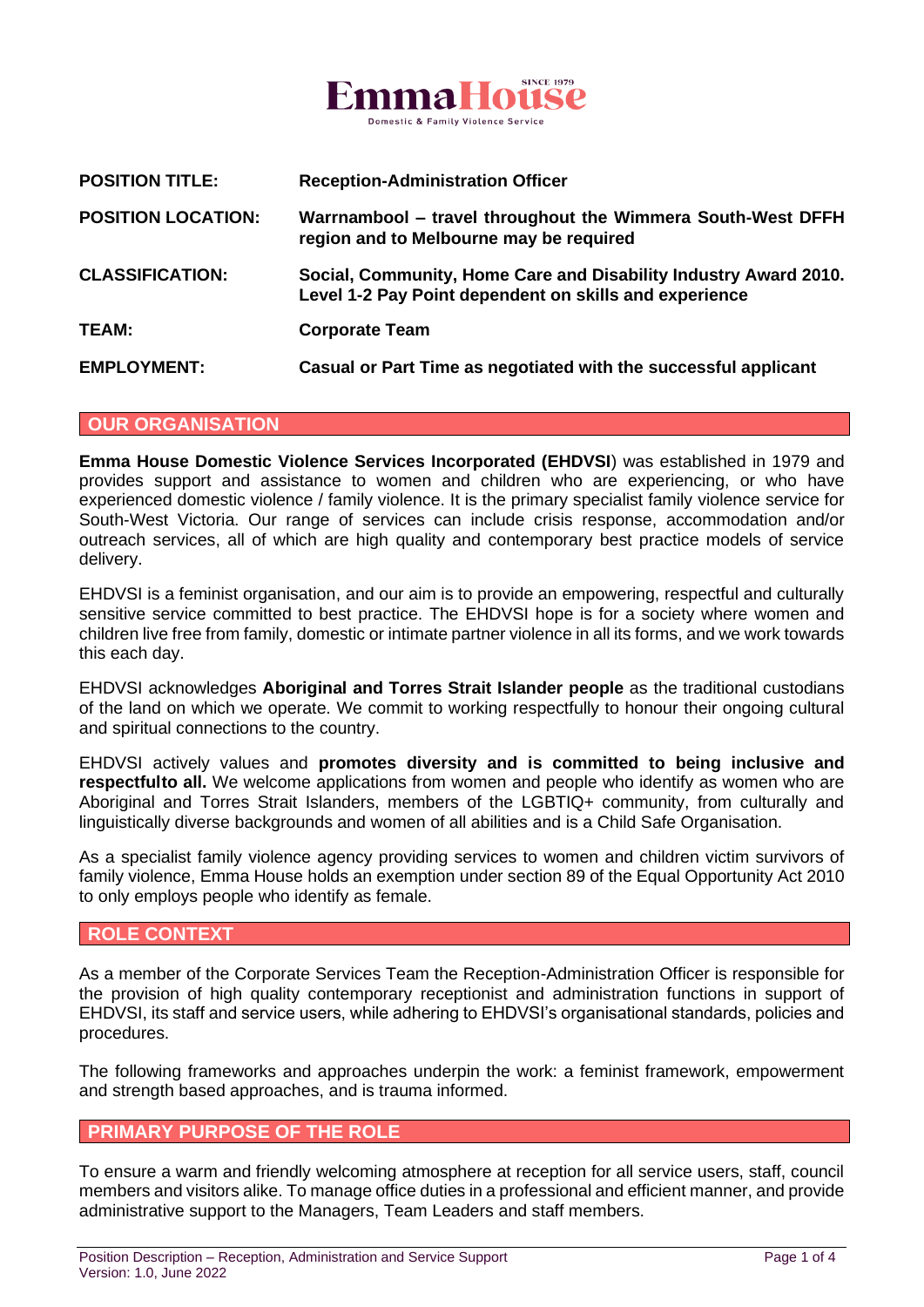

| <b>POSITION TITLE:</b>    | <b>Reception-Administration Officer</b>                                                                                    |
|---------------------------|----------------------------------------------------------------------------------------------------------------------------|
| <b>POSITION LOCATION:</b> | Warrnambool - travel throughout the Wimmera South-West DFFH<br>region and to Melbourne may be required                     |
| <b>CLASSIFICATION:</b>    | Social, Community, Home Care and Disability Industry Award 2010.<br>Level 1-2 Pay Point dependent on skills and experience |
| <b>TEAM:</b>              | <b>Corporate Team</b>                                                                                                      |
| <b>EMPLOYMENT:</b>        | Casual or Part Time as negotiated with the successful applicant                                                            |

#### **OUR ORGANISATION**

**Emma House Domestic Violence Services Incorporated (EHDVSI**) was established in 1979 and provides support and assistance to women and children who are experiencing, or who have experienced domestic violence / family violence. It is the primary specialist family violence service for South-West Victoria. Our range of services can include crisis response, accommodation and/or outreach services, all of which are high quality and contemporary best practice models of service delivery.

EHDVSI is a feminist organisation, and our aim is to provide an empowering, respectful and culturally sensitive service committed to best practice. The EHDVSI hope is for a society where women and children live free from family, domestic or intimate partner violence in all its forms, and we work towards this each day.

EHDVSI acknowledges **Aboriginal and Torres Strait Islander people** as the traditional custodians of the land on which we operate. We commit to working respectfully to honour their ongoing cultural and spiritual connections to the country.

EHDVSI actively values and **promotes diversity and is committed to being inclusive and respectfulto all.** We welcome applications from women and people who identify as women who are Aboriginal and Torres Strait Islanders, members of the LGBTIQ+ community, from culturally and linguistically diverse backgrounds and women of all abilities and is a Child Safe Organisation.

As a specialist family violence agency providing services to women and children victim survivors of family violence, Emma House holds an exemption under section 89 of the Equal Opportunity Act 2010 to only employs people who identify as female.

#### **ROLE CONTEXT**

As a member of the Corporate Services Team the Reception-Administration Officer is responsible for the provision of high quality contemporary receptionist and administration functions in support of EHDVSI, its staff and service users, while adhering to EHDVSI's organisational standards, policies and procedures.

The following frameworks and approaches underpin the work: a feminist framework, empowerment and strength based approaches, and is trauma informed.

#### **PRIMARY PURPOSE OF THE ROLE**

To ensure a warm and friendly welcoming atmosphere at reception for all service users, staff, council members and visitors alike. To manage office duties in a professional and efficient manner, and provide administrative support to the Managers, Team Leaders and staff members.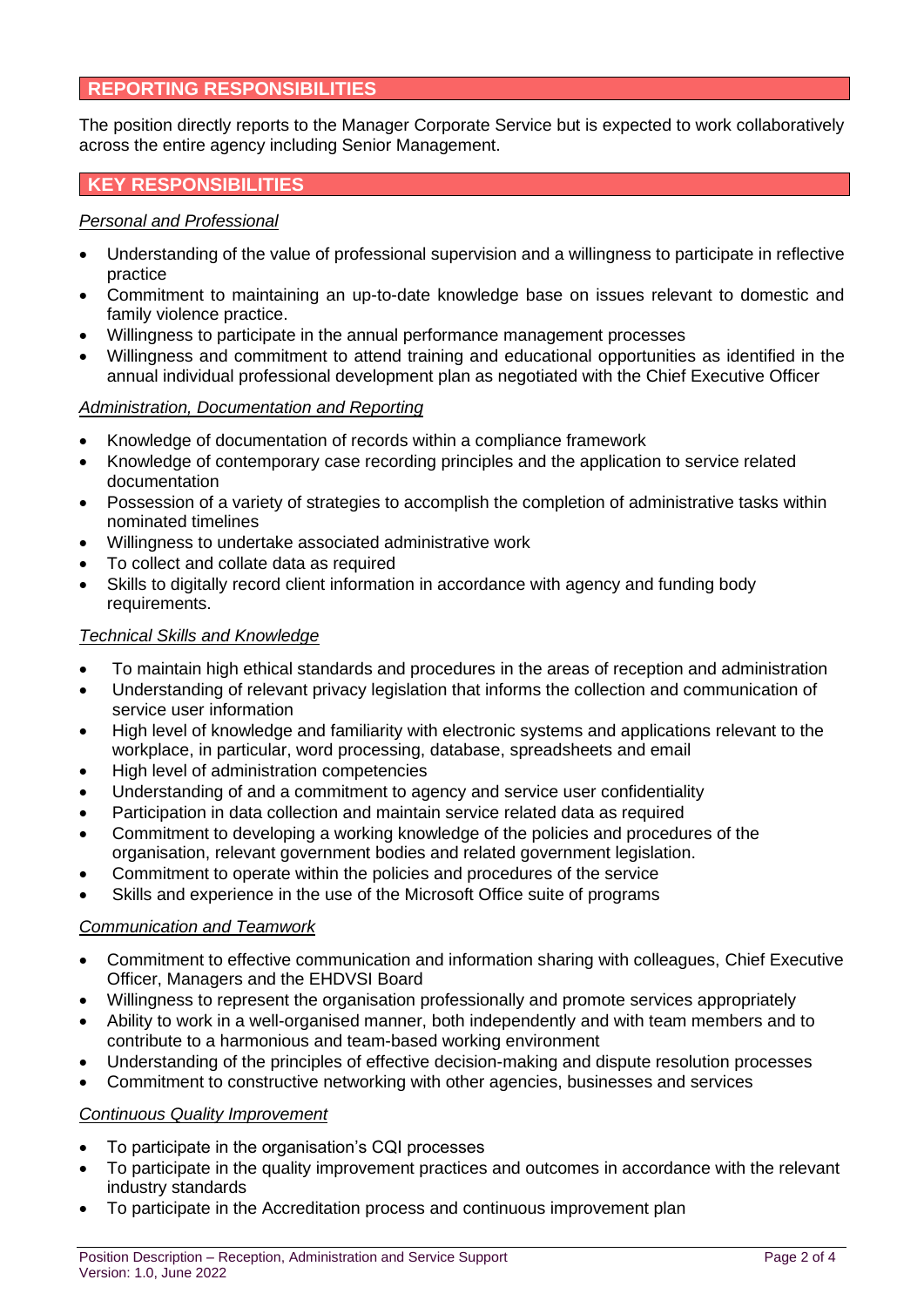## **REPORTING RESPONSIBILITIES**

The position directly reports to the Manager Corporate Service but is expected to work collaboratively across the entire agency including Senior Management.

# **KEY RESPONSIBILITIES**

#### *Personal and Professional*

- Understanding of the value of professional supervision and a willingness to participate in reflective practice
- Commitment to maintaining an up-to-date knowledge base on issues relevant to domestic and family violence practice.
- Willingness to participate in the annual performance management processes
- Willingness and commitment to attend training and educational opportunities as identified in the annual individual professional development plan as negotiated with the Chief Executive Officer

#### *Administration, Documentation and Reporting*

- Knowledge of documentation of records within a compliance framework
- Knowledge of contemporary case recording principles and the application to service related documentation
- Possession of a variety of strategies to accomplish the completion of administrative tasks within nominated timelines
- Willingness to undertake associated administrative work
- To collect and collate data as required
- Skills to digitally record client information in accordance with agency and funding body requirements.

## *Technical Skills and Knowledge*

- To maintain high ethical standards and procedures in the areas of reception and administration
- Understanding of relevant privacy legislation that informs the collection and communication of service user information
- High level of knowledge and familiarity with electronic systems and applications relevant to the workplace, in particular, word processing, database, spreadsheets and email
- High level of administration competencies
- Understanding of and a commitment to agency and service user confidentiality
- Participation in data collection and maintain service related data as required
- Commitment to developing a working knowledge of the policies and procedures of the organisation, relevant government bodies and related government legislation.
- Commitment to operate within the policies and procedures of the service
- Skills and experience in the use of the Microsoft Office suite of programs

## *Communication and Teamwork*

- Commitment to effective communication and information sharing with colleagues, Chief Executive Officer, Managers and the EHDVSI Board
- Willingness to represent the organisation professionally and promote services appropriately
- Ability to work in a well-organised manner, both independently and with team members and to contribute to a harmonious and team-based working environment
- Understanding of the principles of effective decision-making and dispute resolution processes
- Commitment to constructive networking with other agencies, businesses and services

#### *Continuous Quality Improvement*

- To participate in the organisation's CQI processes
- To participate in the quality improvement practices and outcomes in accordance with the relevant industry standards
- To participate in the Accreditation process and continuous improvement plan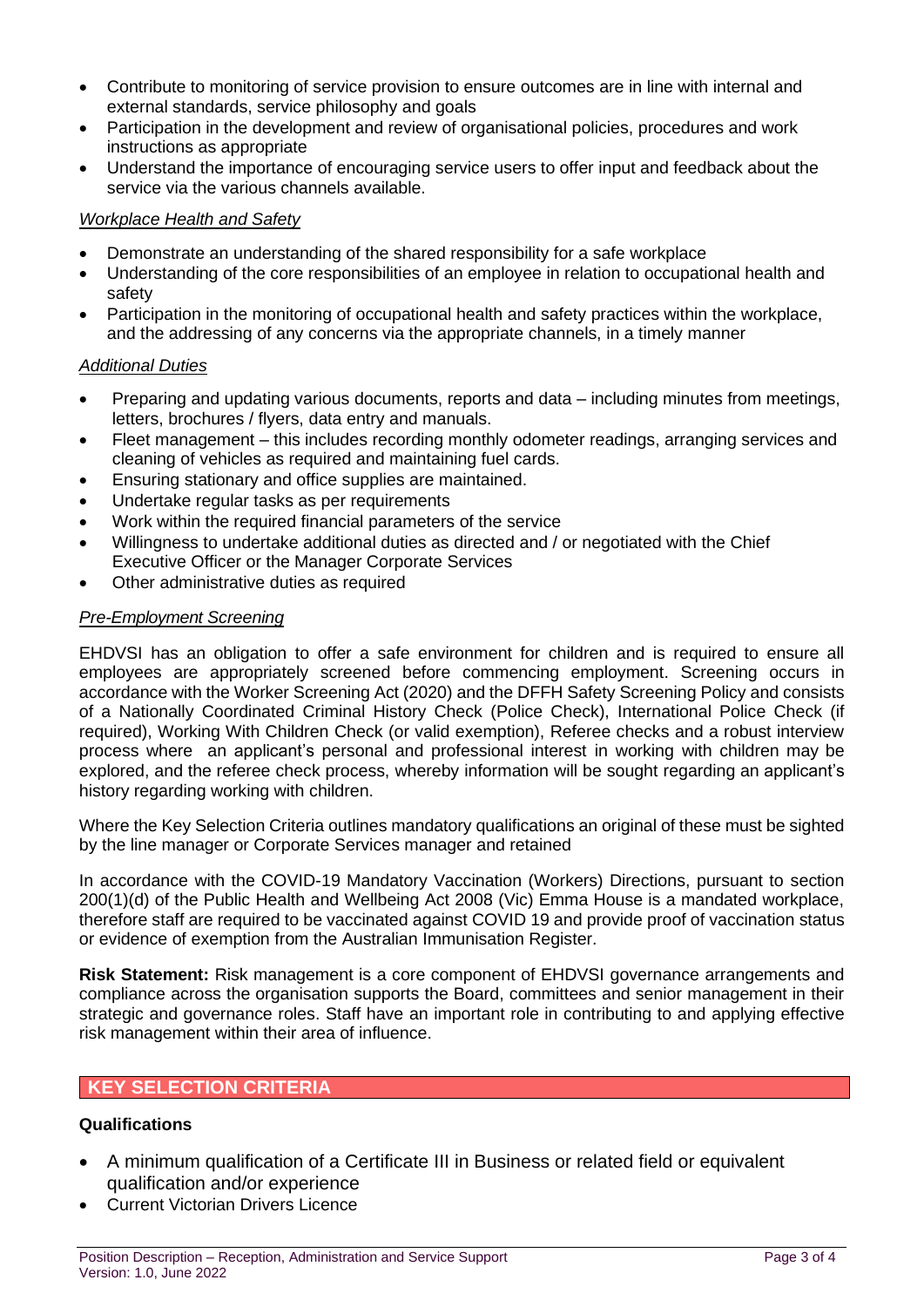- Contribute to monitoring of service provision to ensure outcomes are in line with internal and external standards, service philosophy and goals
- Participation in the development and review of organisational policies, procedures and work instructions as appropriate
- Understand the importance of encouraging service users to offer input and feedback about the service via the various channels available.

### *Workplace Health and Safety*

- Demonstrate an understanding of the shared responsibility for a safe workplace
- Understanding of the core responsibilities of an employee in relation to occupational health and safety
- Participation in the monitoring of occupational health and safety practices within the workplace, and the addressing of any concerns via the appropriate channels, in a timely manner

### *Additional Duties*

- Preparing and updating various documents, reports and data including minutes from meetings, letters, brochures / flyers, data entry and manuals.
- Fleet management this includes recording monthly odometer readings, arranging services and cleaning of vehicles as required and maintaining fuel cards.
- Ensuring stationary and office supplies are maintained.
- Undertake regular tasks as per requirements
- Work within the required financial parameters of the service
- Willingness to undertake additional duties as directed and / or negotiated with the Chief Executive Officer or the Manager Corporate Services
- Other administrative duties as required

### *Pre-Employment Screening*

EHDVSI has an obligation to offer a safe environment for children and is required to ensure all employees are appropriately screened before commencing employment. Screening occurs in accordance with the Worker Screening Act (2020) and the DFFH Safety Screening Policy and consists of a Nationally Coordinated Criminal History Check (Police Check), International Police Check (if required), Working With Children Check (or valid exemption), Referee checks and a robust interview process where an applicant's personal and professional interest in working with children may be explored, and the referee check process, whereby information will be sought regarding an applicant's history regarding working with children.

Where the Key Selection Criteria outlines mandatory qualifications an original of these must be sighted by the line manager or Corporate Services manager and retained

In accordance with the COVID-19 Mandatory Vaccination (Workers) Directions, pursuant to section 200(1)(d) of the Public Health and Wellbeing Act 2008 (Vic) Emma House is a mandated workplace, therefore staff are required to be vaccinated against COVID 19 and provide proof of vaccination status or evidence of exemption from the Australian Immunisation Register.

**Risk Statement:** Risk management is a core component of EHDVSI governance arrangements and compliance across the organisation supports the Board, committees and senior management in their strategic and governance roles. Staff have an important role in contributing to and applying effective risk management within their area of influence.

## **KEY SELECTION CRITERIA**

## **Qualifications**

- A minimum qualification of a Certificate III in Business or related field or equivalent qualification and/or experience
- Current Victorian Drivers Licence